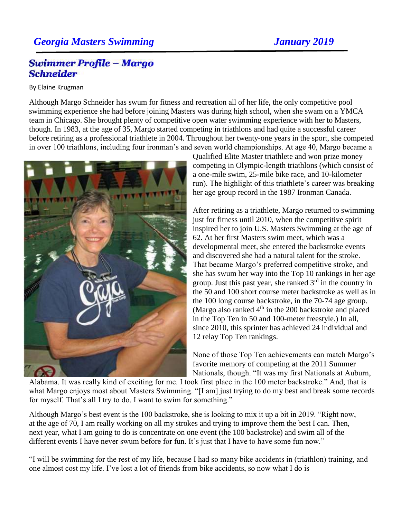## *Georgia Masters Swimming January 2019*

## Swimmer Profile - Margo **Schneider**

## By Elaine Krugman

Although Margo Schneider has swum for fitness and recreation all of her life, the only competitive pool swimming experience she had before joining Masters was during high school, when she swam on a YMCA team in Chicago. She brought plenty of competitive open water swimming experience with her to Masters, though. In 1983, at the age of 35, Margo started competing in triathlons and had quite a successful career before retiring as a professional triathlete in 2004. Throughout her twenty-one years in the sport, she competed in over 100 triathlons, including four ironman's and seven world championships. At age 40, Margo became a



Qualified Elite Master triathlete and won prize money competing in Olympic-length triathlons (which consist of a one-mile swim, 25-mile bike race, and 10-kilometer run). The highlight of this triathlete's career was breaking her age group record in the 1987 Ironman Canada.

After retiring as a triathlete, Margo returned to swimming just for fitness until 2010, when the competitive spirit inspired her to join U.S. Masters Swimming at the age of 62. At her first Masters swim meet, which was a developmental meet, she entered the backstroke events and discovered she had a natural talent for the stroke. That became Margo's preferred competitive stroke, and she has swum her way into the Top 10 rankings in her age group. Just this past year, she ranked  $3<sup>rd</sup>$  in the country in the 50 and 100 short course meter backstroke as well as in the 100 long course backstroke, in the 70-74 age group. (Margo also ranked  $4<sup>th</sup>$  in the 200 backstroke and placed in the Top Ten in 50 and 100-meter freestyle.) In all, since 2010, this sprinter has achieved 24 individual and 12 relay Top Ten rankings.

None of those Top Ten achievements can match Margo's favorite memory of competing at the 2011 Summer Nationals, though. "It was my first Nationals at Auburn,

Alabama. It was really kind of exciting for me. I took first place in the 100 meter backstroke." And, that is what Margo enjoys most about Masters Swimming. "[I am] just trying to do my best and break some records for myself. That's all I try to do. I want to swim for something."

Although Margo's best event is the 100 backstroke, she is looking to mix it up a bit in 2019. "Right now, at the age of 70, I am really working on all my strokes and trying to improve them the best I can. Then, next year, what I am going to do is concentrate on one event (the 100 backstroke) and swim all of the different events I have never swum before for fun. It's just that I have to have some fun now."

"I will be swimming for the rest of my life, because I had so many bike accidents in (triathlon) training, and one almost cost my life. I've lost a lot of friends from bike accidents, so now what I do is